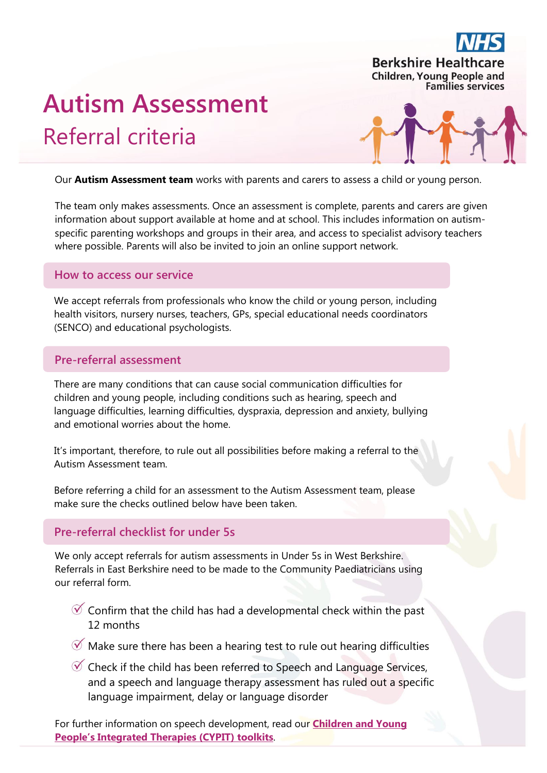

# **Autism Assessment**  Referral criteria



Our **Autism Assessment team** works with parents and carers to assess a child or young person.

The team only makes assessments. Once an assessment is complete, parents and carers are given information about support available at home and at school. This includes information on autismspecific parenting workshops and groups in their area, and access to specialist advisory teachers where possible. Parents will also be invited to join an online support network.

#### **How to access our service**

We accept referrals from professionals who know the child or young person, including health visitors, nursery nurses, teachers, GPs, special educational needs coordinators (SENCO) and educational psychologists.

### **Pre-referral assessment**

There are many conditions that can cause social communication difficulties for children and young people, including conditions such as hearing, speech and language difficulties, learning difficulties, dyspraxia, depression and anxiety, bullying and emotional worries about the home.

It's important, therefore, to rule out all possibilities before making a referral to the Autism Assessment team.

Before referring a child for an assessment to the Autism Assessment team, please make sure the checks outlined below have been taken.

## **Pre-referral checklist for under 5s**

We only accept referrals for autism assessments in Under 5s in West Berkshire. Referrals in East Berkshire need to be made to the Community Paediatricians using our referral form.

- $\mathcal O$  Confirm that the child has had a developmental check within the past 12 months
- $\mathcal V$  Make sure there has been a hearing test to rule out hearing difficulties
- $\mathcal O$  Check if the child has been referred to Speech and Language Services, and a speech and language therapy assessment has ruled out a specific language impairment, delay or language disorder

For further information on speech development, read our **[Children and Young](http://www.berkshirehealthcare.nhs.uk/our-services/childrens-healthcare/cypit-toolkit-the-early-years/)  [People's Integrated Therapies \(CYPIT](http://www.berkshirehealthcare.nhs.uk/our-services/childrens-healthcare/cypit-toolkit-the-early-years/)) toolkits**.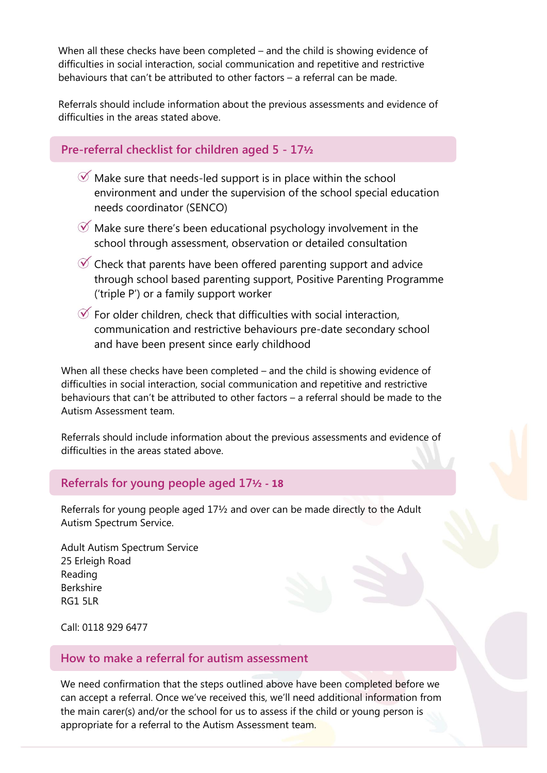When all these checks have been completed – and the child is showing evidence of difficulties in social interaction, social communication and repetitive and restrictive behaviours that can't be attributed to other factors – a referral can be made.

Referrals should include information about the previous assessments and evidence of difficulties in the areas stated above.

### **Pre-referral checklist for children aged 5 - 17½**

- $\mathcal O$  Make sure that needs-led support is in place within the school environment and under the supervision of the school special education needs coordinator (SENCO)
- $\mathcal Y$  Make sure there's been educational psychology involvement in the school through assessment, observation or detailed consultation
- $\mathcal O$  Check that parents have been offered parenting support and advice through school based parenting support, Positive Parenting Programme ('triple P') or a family support worker
- $\mathcal G$  For older children, check that difficulties with social interaction, communication and restrictive behaviours pre-date secondary school and have been present since early childhood

When all these checks have been completed – and the child is showing evidence of difficulties in social interaction, social communication and repetitive and restrictive behaviours that can't be attributed to other factors – a referral should be made to the Autism Assessment team.

Referrals should include information about the previous assessments and evidence of difficulties in the areas stated above.

### **Referrals for young people aged 17½ - 18**

Referrals for young people aged 17½ and over can be made directly to the Adult Autism Spectrum Service.

Adult Autism Spectrum Service 25 Erleigh Road Reading Berkshire RG1 5LR

Call: 0118 929 6477

# **How to make a referral for autism assessment**

We need confirmation that the steps outlined above have been completed before we can accept a referral. Once we've received this, we'll need additional information from the main carer(s) and/or the school for us to assess if the child or young person is appropriate for a referral to the Autism Assessment team.